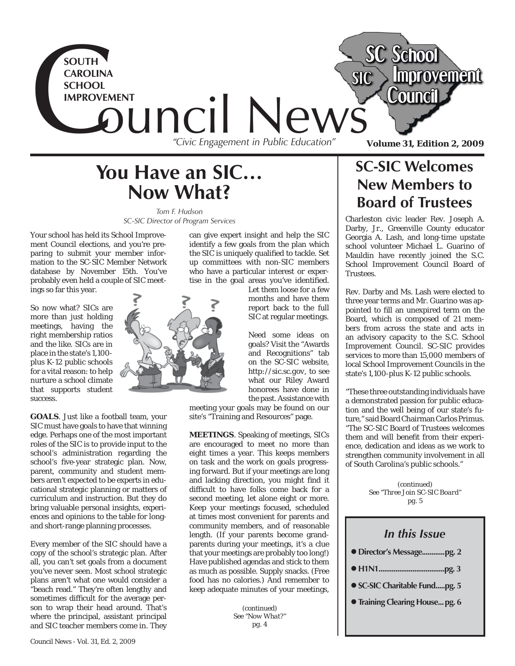

### **You Have an SIC… Now What?**

*Tom F. Hudson SC-SIC Director of Program Services*

Your school has held its School Improvement Council elections, and you're preparing to submit your member information to the SC-SIC Member Network database by November 15th. You've probably even held a couple of SIC meetings so far this year.

So now what? SICs are more than just holding meetings, having the right membership ratios and the like. SICs are in place in the state's 1,100 plus K-12 public schools for a vital reason: to help nurture a school climate that supports student success.

**GOALS**. Just like a football team, your SIC must have goals to have that winning edge. Perhaps one of the most important roles of the SIC is to provide input to the school's administration regarding the school's five-year strategic plan. Now, parent, community and student members aren't expected to be experts in educational strategic planning or matters of curriculum and instruction. But they do bring valuable personal insights, experiences and opinions to the table for longand short-range planning processes.

Every member of the SIC should have a copy of the school's strategic plan. After all, you can't set goals from a document you've never seen. Most school strategic plans aren't what one would consider a "beach read." They're often lengthy and sometimes difficult for the average person to wrap their head around. That's where the principal, assistant principal and SIC teacher members come in. They

can give expert insight and help the SIC identify a few goals from the plan which the SIC is uniquely qualified to tackle. Set up committees with non-SIC members who have a particular interest or expertise in the goal areas you've identified. Let them loose for a few

months and have them report back to the full SIC at regular meetings.

Need some ideas on goals? Visit the "Awards and Recognitions" tab on the SC-SIC website, *http://sic.sc.gov*, to see what our Riley Award honorees have done in the past. Assistance with

meeting your goals may be found on our site's "Training and Resources" page.

**MEETINGS**. Speaking of meetings, SICs are encouraged to meet no more than eight times a year. This keeps members on task and the work on goals progressing forward. But if your meetings are long and lacking direction, you might find it difficult to have folks come back for a second meeting, let alone eight or more. Keep your meetings focused, scheduled at times most convenient for parents and community members, and of reasonable length. (If your parents become grandparents during your meetings, it's a clue that your meetings are probably too long!) Have published agendas and stick to them as much as possible. Supply snacks. (Free food has no calories.) And remember to keep adequate minutes of your meetings,

> *(continued) See "Now What?" pg. 4*

#### **SC-SIC Welcomes New Members to Board of Trustees**

Charleston civic leader Rev. Joseph A. Darby, Jr., Greenville County educator Georgia A. Lash, and long-time upstate school volunteer Michael L. Guarino of Mauldin have recently joined the S.C. School Improvement Council Board of Trustees.

Rev. Darby and Ms. Lash were elected to three year terms and Mr. Guarino was appointed to fill an unexpired term on the Board, which is composed of 21 members from across the state and acts in an advisory capacity to the S.C. School Improvement Council. SC-SIC provides services to more than 15,000 members of local School Improvement Councils in the state's 1,100-plus K-12 public schools.

"These three outstanding individuals have a demonstrated passion for public education and the well being of our state's future," said Board Chairman Carlos Primus. "The SC-SIC Board of Trustees welcomes them and will benefit from their experience, dedication and ideas as we work to strengthen community involvement in all of South Carolina's public schools."

> *(continued) See "Three Join SC-SIC Board" pg. 5*

| In this Issue                   |
|---------------------------------|
| • Director's Messagepg. 2       |
|                                 |
| · SC-SIC Charitable Fundpg. 5   |
| · Training Clearing House pg. 6 |

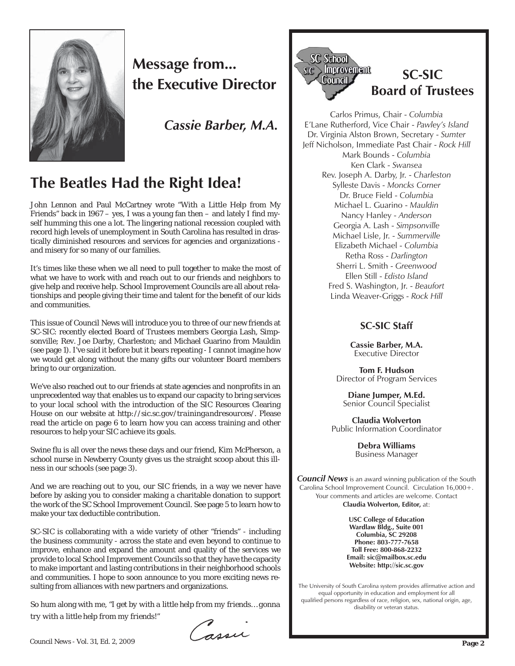

#### **Message from... the Executive Director**

*Cassie Barber, M.A.*

#### **The Beatles Had the Right Idea!**

John Lennon and Paul McCartney wrote "With a Little Help from My Friends" back in 1967 – yes, I was a young fan then – and lately I find myself humming this one a lot. The lingering national recession coupled with record high levels of unemployment in South Carolina has resulted in drastically diminished resources and services for agencies and organizations and misery for so many of our families.

It's times like these when we all need to pull together to make the most of what we have to work with and reach out to our friends and neighbors to give help and receive help. School Improvement Councils are all about relationships and people giving their time and talent for the benefit of our kids and communities.

This issue of Council News will introduce you to three of our new friends at SC-SIC: recently elected Board of Trustees members Georgia Lash, Simpsonville; Rev. Joe Darby, Charleston; and Michael Guarino from Mauldin (see page 1). I've said it before but it bears repeating - I cannot imagine how we would get along without the many gifts our volunteer Board members bring to our organization.

We've also reached out to our friends at state agencies and nonprofits in an unprecedented way that enables us to expand our capacity to bring services to your local school with the introduction of the SIC Resources Clearing House on our website at *http://sic.sc.gov/trainingandresources/*. Please read the article on page 6 to learn how you can access training and other resources to help your SIC achieve its goals.

Swine flu is all over the news these days and our friend, Kim McPherson, a school nurse in Newberry County gives us the straight scoop about this illness in our schools (see page 3).

And we are reaching out to you, our SIC friends, in a way we never have before by asking you to consider making a charitable donation to support the work of the SC School Improvement Council. See page 5 to learn how to make your tax deductible contribution.

SC-SIC is collaborating with a wide variety of other "friends" - including the business community - across the state and even beyond to continue to improve, enhance and expand the amount and quality of the services we provide to local School Improvement Councils so that they have the capacity to make important and lasting contributions in their neighborhood schools and communities. I hope to soon announce to you more exciting news resulting from alliances with new partners and organizations.

So hum along with me, *"I get by with a little help from my friends… gonna try with a little help from my friends!"*





Carlos Primus, Chair - *Columbia* E'Lane Rutherford, Vice Chair - *Pawley's Island* Dr. Virginia Alston Brown, Secretary - *Sumter* Jeff Nicholson, Immediate Past Chair - *Rock Hill* Mark Bounds - *Columbia* Ken Clark - *Swansea* Rev. Joseph A. Darby, Jr. - *Charleston* Sylleste Davis - *Moncks Corner* Dr. Bruce Field - *Columbia* Michael L. Guarino - *Mauldin* Nancy Hanley - *Anderson* Georgia A. Lash - *Simpsonville* Michael Lisle, Jr. - *Summerville* Elizabeth Michael - *Columbia* Retha Ross - *Darlington* Sherri L. Smith - *Greenwood* Ellen Still - *Edisto Island* Fred S. Washington, Jr. - *Beaufort* Linda Weaver-Griggs - *Rock Hill*

#### **SC-SIC Staff**

**Cassie Barber, M.A.** Executive Director

**Tom F. Hudson** Director of Program Services

**Diane Jumper, M.Ed.** Senior Council Specialist

**Claudia Wolverton** Public Information Coordinator

> **Debra Williams** Business Manager

*Council News* is an award winning publication of the South Carolina School Improvement Council. Circulation 16,000+. Your comments and articles are welcome. Contact **Claudia Wolverton, Editor,** at:

> **USC College of Education Wardlaw Bldg., Suite 001 Columbia, SC 29208 Phone: 803-777-7658 Toll Free: 800-868-2232 Email: sic@mailbox.sc.edu Website: http://sic.sc.gov**

The University of South Carolina system provides affirmative action and equal opportunity in education and employment for all qualified persons regardless of race, religion, sex, national origin, age, disability or veteran status.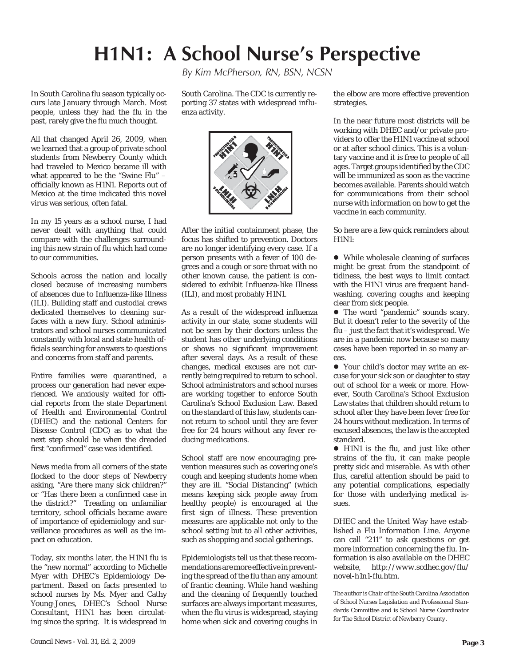# **H1N1: A School Nurse's Perspective**

In South Carolina flu season typically occurs late January through March. Most people, unless they had the flu in the past, rarely give the flu much thought.

All that changed April 26, 2009, when we learned that a group of private school students from Newberry County which had traveled to Mexico became ill with what appeared to be the "Swine Flu" – officially known as H1N1. Reports out of Mexico at the time indicated this novel virus was serious, often fatal.

In my 15 years as a school nurse, I had never dealt with anything that could compare with the challenges surrounding this new strain of flu which had come to our communities.

Schools across the nation and locally closed because of increasing numbers of absences due to Influenza-like Illness (ILI). Building staff and custodial crews dedicated themselves to cleaning surfaces with a new fury. School administrators and school nurses communicated constantly with local and state health officials searching for answers to questions and concerns from staff and parents.

Entire families were quarantined, a process our generation had never experienced. We anxiously waited for official reports from the state Department of Health and Environmental Control (DHEC) and the national Centers for Disease Control (CDC) as to what the next step should be when the dreaded first "confirmed" case was identified.

News media from all corners of the state flocked to the door steps of Newberry asking, "Are there many sick children?" or "Has there been a confirmed case in the district?" Treading on unfamiliar territory, school officials became aware of importance of epidemiology and surveillance procedures as well as the impact on education.

Today, six months later, the H1N1 flu is the "new normal" according to Michelle Myer with DHEC's Epidemiology Department. Based on facts presented to school nurses by Ms. Myer and Cathy Young-Jones, DHEC's School Nurse Consultant, H1N1 has been circulating since the spring. It is widespread in

*By Kim McPherson, RN, BSN, NCSN*

South Carolina. The CDC is currently reporting 37 states with widespread influenza activity.



After the initial containment phase, the focus has shifted to prevention. Doctors are no longer identifying every case. If a person presents with a fever of 100 degrees and a cough or sore throat with no other known cause, the patient is considered to exhibit Influenza-like Illness (ILI), and most probably H1N1.

As a result of the widespread influenza activity in our state, some students will not be seen by their doctors unless the student has other underlying conditions or shows no significant improvement after several days. As a result of these changes, medical excuses are not currently being required to return to school. School administrators and school nurses are working together to enforce South Carolina's School Exclusion Law. Based on the standard of this law, students cannot return to school until they are fever free for 24 hours without any fever reducing medications.

School staff are now encouraging prevention measures such as covering one's cough and keeping students home when they are ill. "Social Distancing" (which means keeping sick people away from healthy people) is encouraged at the first sign of illness. These prevention measures are applicable not only to the school setting but to all other activities, such as shopping and social gatherings.

Epidemiologists tell us that these recommendations are more effective in preventing the spread of the flu than any amount of frantic cleaning. While hand washing and the cleaning of frequently touched surfaces are always important measures, when the flu virus is widespread, staying home when sick and covering coughs in the elbow are more effective prevention strategies.

In the near future most districts will be working with DHEC and/or private providers to offer the H1N1 vaccine at school or at after school clinics. This is a voluntary vaccine and it is free to people of all ages. Target groups identified by the CDC will be immunized as soon as the vaccine becomes available. Parents should watch for communications from their school nurse with information on how to get the vaccine in each community.

So here are a few quick reminders about H1N1:

• While wholesale cleaning of surfaces might be great from the standpoint of tidiness, the best ways to limit contact with the H1N1 virus are frequent handwashing, covering coughs and keeping clear from sick people.

• The word "pandemic" sounds scary. But it doesn't refer to the severity of the  $flu - just the fact that it's widespread. We$ are in a pandemic now because so many cases have been reported in so many areas.

 $\bullet$  Your child's doctor may write an excuse for your sick son or daughter to stay out of school for a week or more. However, South Carolina's School Exclusion Law states that children should return to school after they have been fever free for 24 hours without medication. In terms of excused absences, the law is the accepted standard.

• H1N1 is the flu, and just like other strains of the flu, it can make people pretty sick and miserable. As with other flus, careful attention should be paid to any potential complications, especially for those with underlying medical issues.

DHEC and the United Way have established a Flu Information Line. Anyone can call "211" to ask questions or get more information concerning the flu. Information is also available on the DHEC website, *http://www.scdhec.gov/flu/ novel-h1n1-fl u.htm*.

*The author is Chair of the South Carolina Association of School Nurses Legislation and Professional Standards Committee and is School Nurse Coordinator for The School District of Newberry County.*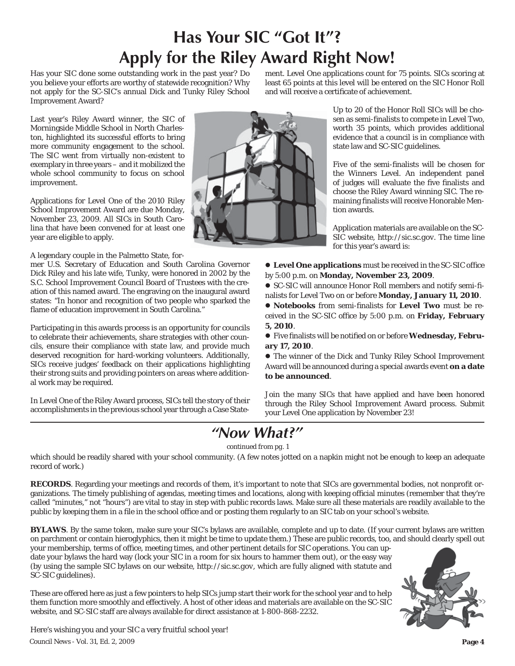## **Has Your SIC "Got It"? Apply for the Riley Award Right Now!**

Has your SIC done some outstanding work in the past year? Do you believe your efforts are worthy of statewide recognition? Why not apply for the SC-SIC's annual Dick and Tunky Riley School Improvement Award?

Last year's Riley Award winner, the SIC of Morningside Middle School in North Charleston, highlighted its successful efforts to bring more community engagement to the school. The SIC went from virtually non-existent to exemplary in three years – and it mobilized the whole school community to focus on school improvement.

Applications for Level One of the 2010 Riley School Improvement Award are due Monday, November 23, 2009. All SICs in South Carolina that have been convened for at least one year are eligible to apply.

A legendary couple in the Palmetto State, for-

mer U.S. Secretary of Education and South Carolina Governor Dick Riley and his late wife, Tunky, were honored in 2002 by the S.C. School Improvement Council Board of Trustees with the creation of this named award. The engraving on the inaugural award states: "In honor and recognition of two people who sparked the flame of education improvement in South Carolina."

Participating in this awards process is an opportunity for councils to celebrate their achievements, share strategies with other councils, ensure their compliance with state law, and provide much deserved recognition for hard-working volunteers. Additionally, SICs receive judges' feedback on their applications highlighting their strong suits and providing pointers on areas where additional work may be required.

In Level One of the Riley Award process, SICs tell the story of their accomplishments in the previous school year through a Case Statement. Level One applications count for 75 points. SICs scoring at least 65 points at this level will be entered on the SIC Honor Roll and will receive a certificate of achievement.

> Up to 20 of the Honor Roll SICs will be chosen as semi-finalists to compete in Level Two, worth 35 points, which provides additional evidence that a council is in compliance with state law and SC-SIC guidelines.

> Five of the semi-finalists will be chosen for the Winners Level. An independent panel of judges will evaluate the five finalists and choose the Riley Award winning SIC. The remaining finalists will receive Honorable Mention awards.

> Application materials are available on the SC-SIC website, *http://sic.sc.gov*. The time line for this year's award is:

 $\bullet$  Level One applications must be received in the SC-SIC office by 5:00 p.m. on **Monday, November 23, 2009**.

• SC-SIC will announce Honor Roll members and notify semi-finalists for Level Two on or before **Monday, January 11, 2010**.

 $\bullet$  **Notebooks** from semi-finalists for Level Two must be received in the SC-SIC office by 5:00 p.m. on **Friday, February 5, 2010**.

 $\bullet$  Five finalists will be notified on or before **Wednesday, February 17, 2010**.

 $\bullet$  The winner of the Dick and Tunky Riley School Improvement Award will be announced during a special awards event **on a date to be announced**.

Join the many SICs that have applied and have been honored through the Riley School Improvement Award process. Submit your Level One application by November 23!

#### *"Now What?"*

*continued from pg. 1*

which should be readily shared with your school community. (A few notes jotted on a napkin might not be enough to keep an adequate record of work.)

**RECORDS**. Regarding your meetings and records of them, it's important to note that SICs are governmental bodies, not nonprofit organizations. The timely publishing of agendas, meeting times and locations, along with keeping official minutes (remember that they're called "minutes," not "hours") are vital to stay in step with public records laws. Make sure all these materials are readily available to the public by keeping them in a file in the school office and or posting them regularly to an SIC tab on your school's website.

**BYLAWS**. By the same token, make sure your SIC's bylaws are available, complete and up to date. (If your current bylaws are written on parchment or contain hieroglyphics, then it might be time to update them.) These are public records, too, and should clearly spell out

your membership, terms of office, meeting times, and other pertinent details for SIC operations. You can update your bylaws the hard way (lock your SIC in a room for six hours to hammer them out), or the easy way (by using the sample SIC bylaws on our website, *http://sic.sc.gov,* which are fully aligned with statute and SC-SIC guidelines).

These are offered here as just a few pointers to help SICs jump start their work for the school year and to help them function more smoothly and effectively. A host of other ideas and materials are available on the SC-SIC website, and SC-SIC staff are always available for direct assistance at 1-800-868-2232.



*Council News - Vol. 31, Ed. 2, 2009* **Page 4** Here's wishing you and your SIC a very fruitful school year!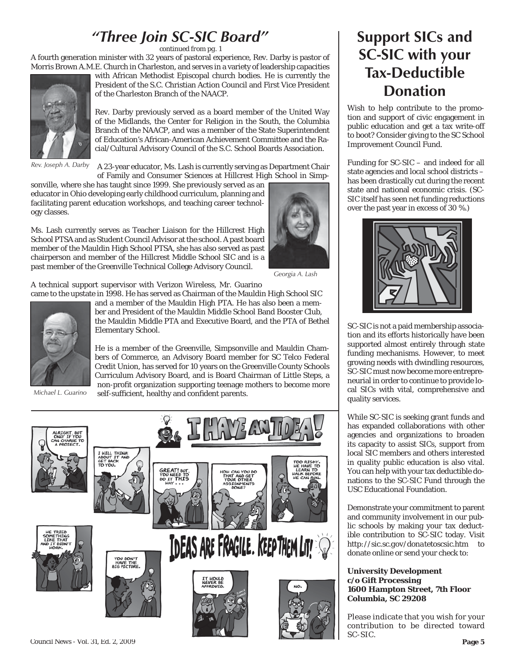#### *"Three Join SC-SIC Board"* | Support SICs and

*continued from pg. 1*

A fourth generation minister with 32 years of pastoral experience, Rev. Darby is pastor of Morris Brown A.M.E. Church in Charleston, and serves in a variety of leadership capacities



with African Methodist Episcopal church bodies. He is currently the President of the S.C. Christian Action Council and First Vice President of the Charleston Branch of the NAACP.

Rev. Darby previously served as a board member of the United Way of the Midlands, the Center for Religion in the South, the Columbia Branch of the NAACP, and was a member of the State Superintendent of Education's African-American Achievement Committee and the Racial/Cultural Advisory Council of the S.C. School Boards Association.

*Rev. Joseph A. Darby*

A 23-year educator, Ms. Lash is currently serving as Department Chair of Family and Consumer Sciences at Hillcrest High School in Simp-

sonville, where she has taught since 1999. She previously served as an educator in Ohio developing early childhood curriculum, planning and facilitating parent education workshops, and teaching career technology classes.

Ms. Lash currently serves as Teacher Liaison for the Hillcrest High School PTSA and as Student Council Advisor at the school. A past board member of the Mauldin High School PTSA, she has also served as past chairperson and member of the Hillcrest Middle School SIC and is a past member of the Greenville Technical College Advisory Council.



*Georgia A. Lash*

A technical support supervisor with Verizon Wireless, Mr. Guarino came to the upstate in 1998. He has served as Chairman of the Mauldin High School SIC



and a member of the Mauldin High PTA. He has also been a member and President of the Mauldin Middle School Band Booster Club, the Mauldin Middle PTA and Executive Board, and the PTA of Bethel Elementary School.

He is a member of the Greenville, Simpsonville and Mauldin Chambers of Commerce, an Advisory Board member for SC Telco Federal Credit Union, has served for 10 years on the Greenville County Schools Curriculum Advisory Board, and is Board Chairman of Little Steps, a non-profit organization supporting teenage mothers to become more self-sufficient, healthy and confident parents.



#### *Council News - Vol. 31, Ed. 2, 2009* **Page 5**

# **SC-SIC with your Tax-Deductible Donation**

Wish to help contribute to the promotion and support of civic engagement in public education and get a tax write-off to boot? Consider giving to the SC School Improvement Council Fund.

Funding for SC-SIC – and indeed for all state agencies and local school districts – has been drastically cut during the recent state and national economic crisis. (SC-SIC itself has seen net funding reductions over the past year in excess of 30 %.)



SC-SIC is not a paid membership association and its efforts historically have been supported almost entirely through state funding mechanisms. However, to meet growing needs with dwindling resources, SC-SIC must now become more entrepreneurial in order to continue to provide local SICs with vital, comprehensive and quality services.

While SC-SIC is seeking grant funds and has expanded collaborations with other agencies and organizations to broaden its capacity to assist SICs, support from local SIC members and others interested in quality public education is also vital. You can help with your tax deductible donations to the SC-SIC Fund through the USC Educational Foundation.

Demonstrate your commitment to parent and community involvement in our public schools by making your tax deductible contribution to SC-SIC today. Visit *http://sic.sc.gov/donatetoscsic.htm* to donate online or send your check to:

#### **University Development c/o Gift Processing 1600 Hampton Street, 7th Floor Columbia, SC 29208**

Please indicate that you wish for your contribution to be directed toward SC-SIC.